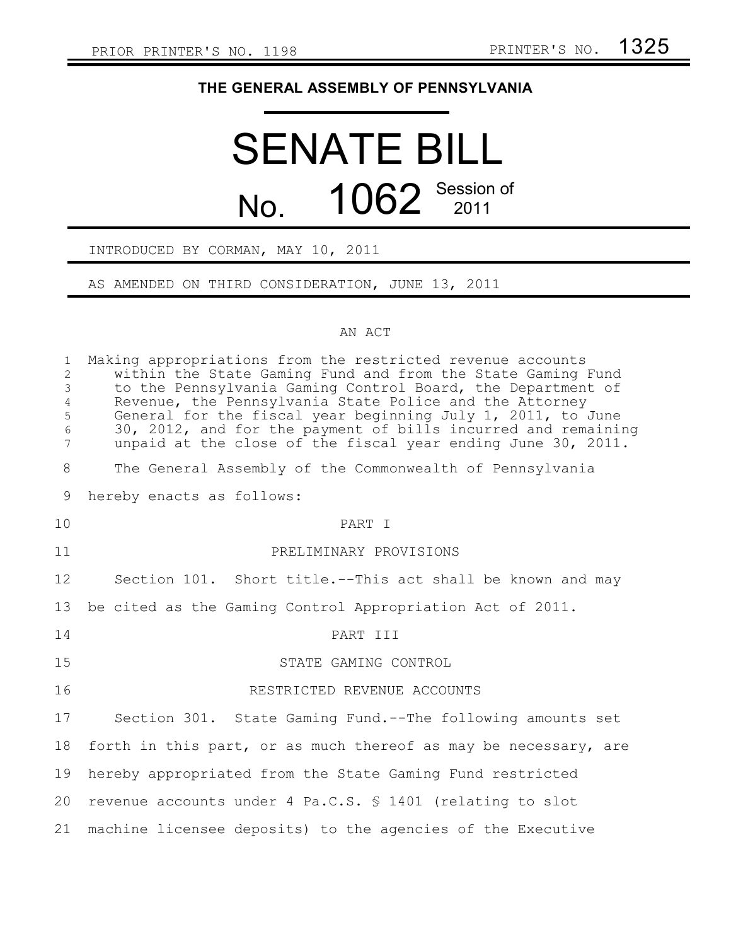## **THE GENERAL ASSEMBLY OF PENNSYLVANIA**

## SENATE BILL No. 1062 Session of

## INTRODUCED BY CORMAN, MAY 10, 2011

AS AMENDED ON THIRD CONSIDERATION, JUNE 13, 2011

## AN ACT

| $\mathbf{1}$<br>$\overline{c}$<br>$\mathfrak{Z}$<br>$\overline{4}$<br>5<br>$6\,$<br>$\overline{7}$ | Making appropriations from the restricted revenue accounts<br>within the State Gaming Fund and from the State Gaming Fund<br>to the Pennsylvania Gaming Control Board, the Department of<br>Revenue, the Pennsylvania State Police and the Attorney<br>General for the fiscal year beginning July 1, 2011, to June<br>30, 2012, and for the payment of bills incurred and remaining<br>unpaid at the close of the fiscal year ending June 30, 2011. |
|----------------------------------------------------------------------------------------------------|-----------------------------------------------------------------------------------------------------------------------------------------------------------------------------------------------------------------------------------------------------------------------------------------------------------------------------------------------------------------------------------------------------------------------------------------------------|
| 8                                                                                                  | The General Assembly of the Commonwealth of Pennsylvania                                                                                                                                                                                                                                                                                                                                                                                            |
| 9                                                                                                  | hereby enacts as follows:                                                                                                                                                                                                                                                                                                                                                                                                                           |
| 10                                                                                                 | PART I                                                                                                                                                                                                                                                                                                                                                                                                                                              |
| 11                                                                                                 | PRELIMINARY PROVISIONS                                                                                                                                                                                                                                                                                                                                                                                                                              |
| 12                                                                                                 | Section 101. Short title.--This act shall be known and may                                                                                                                                                                                                                                                                                                                                                                                          |
| 13                                                                                                 | be cited as the Gaming Control Appropriation Act of 2011.                                                                                                                                                                                                                                                                                                                                                                                           |
| 14                                                                                                 | PART III                                                                                                                                                                                                                                                                                                                                                                                                                                            |
| 15                                                                                                 | STATE GAMING CONTROL                                                                                                                                                                                                                                                                                                                                                                                                                                |
| 16                                                                                                 | RESTRICTED REVENUE ACCOUNTS                                                                                                                                                                                                                                                                                                                                                                                                                         |
| 17                                                                                                 | Section 301. State Gaming Fund.--The following amounts set                                                                                                                                                                                                                                                                                                                                                                                          |
| 18                                                                                                 | forth in this part, or as much thereof as may be necessary, are                                                                                                                                                                                                                                                                                                                                                                                     |
| 19                                                                                                 | hereby appropriated from the State Gaming Fund restricted                                                                                                                                                                                                                                                                                                                                                                                           |
| 20                                                                                                 | revenue accounts under 4 Pa.C.S. \$ 1401 (relating to slot                                                                                                                                                                                                                                                                                                                                                                                          |
| 21                                                                                                 | machine licensee deposits) to the agencies of the Executive                                                                                                                                                                                                                                                                                                                                                                                         |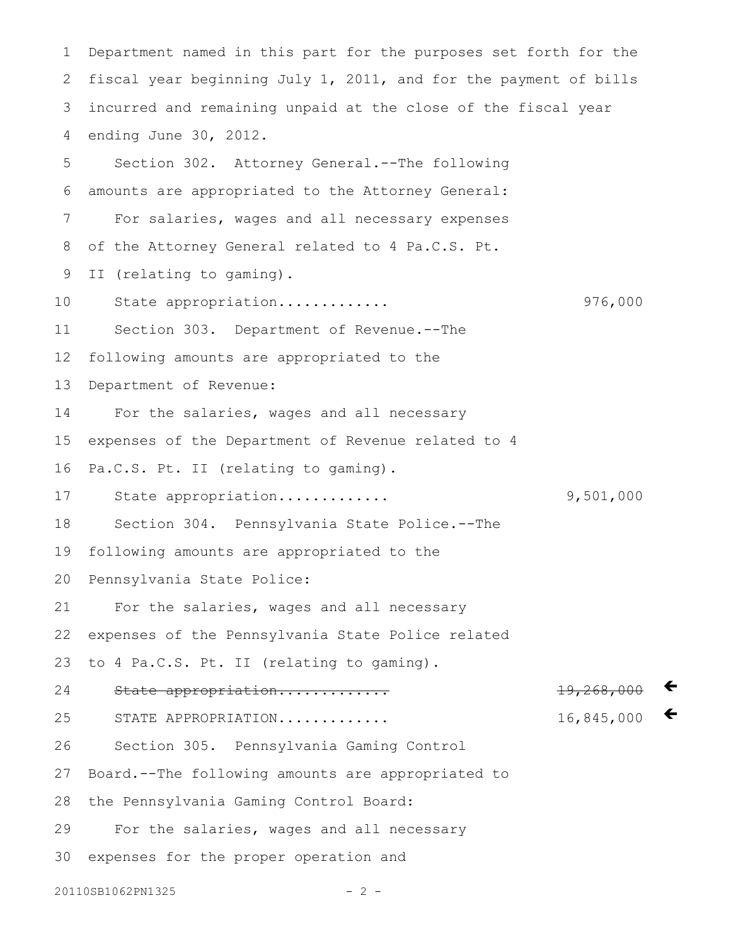Department named in this part for the purposes set forth for the fiscal year beginning July 1, 2011, and for the payment of bills incurred and remaining unpaid at the close of the fiscal year ending June 30, 2012. Section 302. Attorney General.--The following amounts are appropriated to the Attorney General: For salaries, wages and all necessary expenses of the Attorney General related to 4 Pa.C.S. Pt. II (relating to gaming). State appropriation............. 976,000 Section 303. Department of Revenue.--The following amounts are appropriated to the Department of Revenue: For the salaries, wages and all necessary expenses of the Department of Revenue related to 4 Pa.C.S. Pt. II (relating to gaming). State appropriation............. 9,501,000 Section 304. Pennsylvania State Police.--The following amounts are appropriated to the Pennsylvania State Police: For the salaries, wages and all necessary expenses of the Pennsylvania State Police related to 4 Pa.C.S. Pt. II (relating to gaming). State appropriation............. 19,268,000 STATE APPROPRIATION............. 16,845,000 Section 305. Pennsylvania Gaming Control Board.--The following amounts are appropriated to the Pennsylvania Gaming Control Board: For the salaries, wages and all necessary expenses for the proper operation and  $\leftarrow$  $\leftarrow$ 1 2 3 4 5 6 7 8 9 10 11 12 13 14 15 16 17 18 19 20 21 22 23 24 25 26 27 28 29 30

20110SB1062PN1325 - 2 -